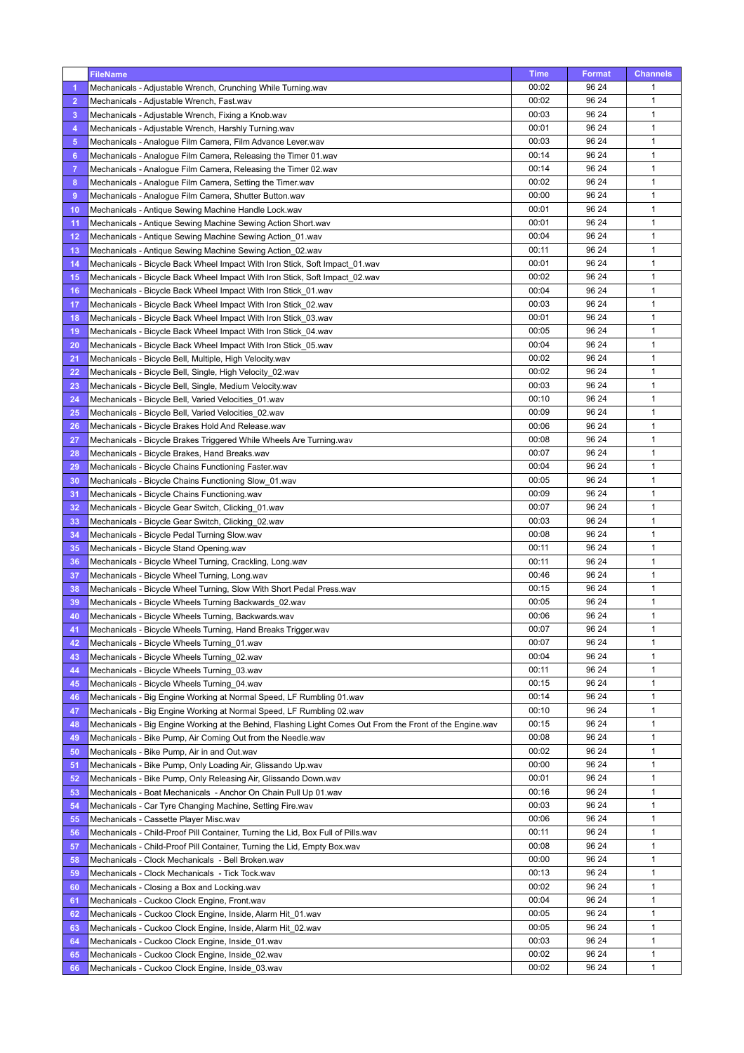|                | <b>FileName</b>                                                                                           | Time  | <b>Format</b> | <b>Channels</b> |
|----------------|-----------------------------------------------------------------------------------------------------------|-------|---------------|-----------------|
| -1             | Mechanicals - Adjustable Wrench, Crunching While Turning wav                                              | 00:02 | 96 24         | $\mathbf{1}$    |
| $\overline{2}$ | Mechanicals - Adjustable Wrench, Fast.wav                                                                 | 00:02 | 96 24         | $\mathbf{1}$    |
| 3              | Mechanicals - Adjustable Wrench, Fixing a Knob.wav                                                        | 00:03 | 96 24         | $\mathbf{1}$    |
| 4              | Mechanicals - Adjustable Wrench, Harshly Turning.wav                                                      | 00:01 | 96 24         | $\mathbf{1}$    |
| 5              | Mechanicals - Analogue Film Camera, Film Advance Lever.wav                                                | 00:03 | 96 24         | $\mathbf{1}$    |
| 6              | Mechanicals - Analogue Film Camera, Releasing the Timer 01 wav                                            | 00:14 | 96 24         | 1               |
| -7             | Mechanicals - Analogue Film Camera, Releasing the Timer 02 wav                                            | 00:14 | 96 24         | $\mathbf{1}$    |
| 8              | Mechanicals - Analogue Film Camera, Setting the Timer.wav                                                 | 00:02 | 96 24         | $\mathbf{1}$    |
| 9              | Mechanicals - Analogue Film Camera, Shutter Button.wav                                                    | 00:00 | 96 24         | $\mathbf{1}$    |
| 10             | Mechanicals - Antique Sewing Machine Handle Lock.wav                                                      | 00:01 | 96 24         | $\mathbf{1}$    |
| 11             | Mechanicals - Antique Sewing Machine Sewing Action Short wav                                              | 00:01 | 96 24         | $\mathbf{1}$    |
| 12             | Mechanicals - Antique Sewing Machine Sewing Action_01.wav                                                 | 00:04 | 96 24         | $\mathbf{1}$    |
| 13             | Mechanicals - Antique Sewing Machine Sewing Action_02.wav                                                 | 00:11 | 96 24         | $\mathbf{1}$    |
| 14             | Mechanicals - Bicycle Back Wheel Impact With Iron Stick, Soft Impact 01 wav                               | 00:01 | 96 24         | $\mathbf{1}$    |
| 15             | Mechanicals - Bicycle Back Wheel Impact With Iron Stick, Soft Impact_02.wav                               | 00:02 | 96 24         | 1               |
| 16             | Mechanicals - Bicycle Back Wheel Impact With Iron Stick_01.wav                                            | 00:04 | 96 24         | $\mathbf{1}$    |
| 17             | Mechanicals - Bicycle Back Wheel Impact With Iron Stick_02.wav                                            | 00:03 | 96 24         | $\mathbf{1}$    |
| 18             | Mechanicals - Bicycle Back Wheel Impact With Iron Stick_03.wav                                            | 00:01 | 96 24         | $\mathbf{1}$    |
| 19             | Mechanicals - Bicycle Back Wheel Impact With Iron Stick_04.wav                                            | 00:05 | 96 24         | $\mathbf{1}$    |
| 20             | Mechanicals - Bicycle Back Wheel Impact With Iron Stick_05.wav                                            | 00:04 | 96 24         | $\mathbf{1}$    |
| 21             | Mechanicals - Bicycle Bell, Multiple, High Velocity.wav                                                   | 00:02 | 96 24         | $\mathbf{1}$    |
| 22             | Mechanicals - Bicycle Bell, Single, High Velocity_02.wav                                                  | 00:02 | 96 24         | $\mathbf{1}$    |
| 23             | Mechanicals - Bicycle Bell, Single, Medium Velocity.wav                                                   | 00:03 | 96 24         | $\mathbf{1}$    |
| 24             | Mechanicals - Bicycle Bell, Varied Velocities 01.wav                                                      | 00:10 | 96 24         | $\mathbf{1}$    |
| 25             | Mechanicals - Bicycle Bell, Varied Velocities_02.wav                                                      | 00:09 | 96 24         | $\mathbf{1}$    |
| 26             | Mechanicals - Bicycle Brakes Hold And Release.wav                                                         | 00:06 | 96 24         | $\mathbf{1}$    |
| 27             | Mechanicals - Bicycle Brakes Triggered While Wheels Are Turning.wav                                       | 00:08 | 96 24         | $\mathbf{1}$    |
| 28             | Mechanicals - Bicycle Brakes, Hand Breaks.wav                                                             | 00:07 | 96 24         | $\mathbf{1}$    |
| 29             | Mechanicals - Bicycle Chains Functioning Faster.wav                                                       | 00:04 | 96 24         | $\mathbf{1}$    |
| 30             | Mechanicals - Bicycle Chains Functioning Slow_01.wav                                                      | 00:05 | 96 24         | $\mathbf{1}$    |
| 31             | Mechanicals - Bicycle Chains Functioning.wav                                                              | 00:09 | 96 24         | 1               |
| 32             | Mechanicals - Bicycle Gear Switch, Clicking 01.wav                                                        | 00:07 | 96 24         | $\mathbf{1}$    |
| 33             | Mechanicals - Bicycle Gear Switch, Clicking_02.wav                                                        | 00:03 | 96 24         | $\mathbf{1}$    |
| 34             | Mechanicals - Bicycle Pedal Turning Slow.wav                                                              | 00:08 | 96 24         | $\mathbf{1}$    |
| 35             | Mechanicals - Bicycle Stand Opening.wav                                                                   | 00:11 | 96 24         | $\mathbf{1}$    |
| 36             | Mechanicals - Bicycle Wheel Turning, Crackling, Long.wav                                                  | 00:11 | 96 24         | $\mathbf{1}$    |
| 37             | Mechanicals - Bicycle Wheel Turning, Long.wav                                                             | 00:46 | 96 24         | 1               |
| 38             | Mechanicals - Bicycle Wheel Turning, Slow With Short Pedal Press.wav                                      | 00:15 | 96 24         | $\mathbf{1}$    |
| 39             | Mechanicals - Bicycle Wheels Turning Backwards_02.wav                                                     | 00:05 | 96 24         | $\mathbf{1}$    |
| 40             | Mechanicals - Bicycle Wheels Turning, Backwards.wav                                                       | 00:06 | 96 24         | $\mathbf{1}$    |
| 41             | Mechanicals - Bicycle Wheels Turning, Hand Breaks Trigger.wav                                             | 00:07 | 96 24         | $\mathbf{1}$    |
| 42             | Mechanicals - Bicycle Wheels Turning 01.wav                                                               | 00:07 | 96 24         | $\mathbf{1}$    |
| 43             | Mechanicals - Bicycle Wheels Turning 02.wav                                                               | 00:04 | 96 24         | $\mathbf{1}$    |
| 44             | Mechanicals - Bicycle Wheels Turning_03.wav                                                               | 00:11 | 96 24         | $\mathbf{1}$    |
| 45             | Mechanicals - Bicycle Wheels Turning_04.wav                                                               | 00:15 | 96 24         | $\mathbf{1}$    |
| 46             | Mechanicals - Big Engine Working at Normal Speed, LF Rumbling 01.wav                                      | 00:14 | 96 24         | $\mathbf{1}$    |
| 47             | Mechanicals - Big Engine Working at Normal Speed, LF Rumbling 02.wav                                      | 00:10 | 96 24         | 1               |
| 48             | Mechanicals - Big Engine Working at the Behind, Flashing Light Comes Out From the Front of the Engine.wav | 00:15 | 96 24         | $\mathbf{1}$    |
| 49             | Mechanicals - Bike Pump, Air Coming Out from the Needle.wav                                               | 00:08 | 96 24         | $\mathbf{1}$    |
| 50             | Mechanicals - Bike Pump, Air in and Out.wav                                                               | 00:02 | 96 24         | $\mathbf{1}$    |
| 51             | Mechanicals - Bike Pump, Only Loading Air, Glissando Up.wav                                               | 00:00 | 96 24         | $\mathbf{1}$    |
| 52             | Mechanicals - Bike Pump, Only Releasing Air, Glissando Down.wav                                           | 00:01 | 96 24         | $\mathbf{1}$    |
| 53             | Mechanicals - Boat Mechanicals - Anchor On Chain Pull Up 01 wav                                           | 00:16 | 96 24         | 1               |
| 54             | Mechanicals - Car Tyre Changing Machine, Setting Fire.wav                                                 | 00:03 | 96 24         | $\mathbf{1}$    |
| 55             | Mechanicals - Cassette Player Misc.wav                                                                    | 00:06 | 96 24         | $\mathbf{1}$    |
| 56             | Mechanicals - Child-Proof Pill Container, Turning the Lid, Box Full of Pills.wav                          | 00:11 | 96 24         | $\mathbf{1}$    |
| 57             | Mechanicals - Child-Proof Pill Container, Turning the Lid, Empty Box.wav                                  | 00:08 | 96 24         | 1               |
| 58             | Mechanicals - Clock Mechanicals - Bell Broken.wav                                                         | 00:00 | 96 24         | 1               |
| 59             | Mechanicals - Clock Mechanicals - Tick Tock.wav                                                           | 00:13 | 96 24         | $\mathbf{1}$    |
| 60             | Mechanicals - Closing a Box and Locking.wav                                                               | 00:02 | 96 24         | $\mathbf{1}$    |
| 61             | Mechanicals - Cuckoo Clock Engine, Front.wav                                                              | 00:04 | 96 24         | $\mathbf{1}$    |
| 62             | Mechanicals - Cuckoo Clock Engine, Inside, Alarm Hit_01.wav                                               | 00:05 | 96 24         | 1               |
| 63             | Mechanicals - Cuckoo Clock Engine, Inside, Alarm Hit_02.wav                                               | 00:05 | 96 24         | $\mathbf{1}$    |
| 64             | Mechanicals - Cuckoo Clock Engine, Inside_01.wav                                                          | 00:03 | 96 24         | $\mathbf{1}$    |
| 65             | Mechanicals - Cuckoo Clock Engine, Inside_02.wav                                                          | 00:02 | 96 24         | $\mathbf{1}$    |
| 66             | Mechanicals - Cuckoo Clock Engine, Inside_03.wav                                                          | 00:02 | 96 24         | $\mathbf{1}$    |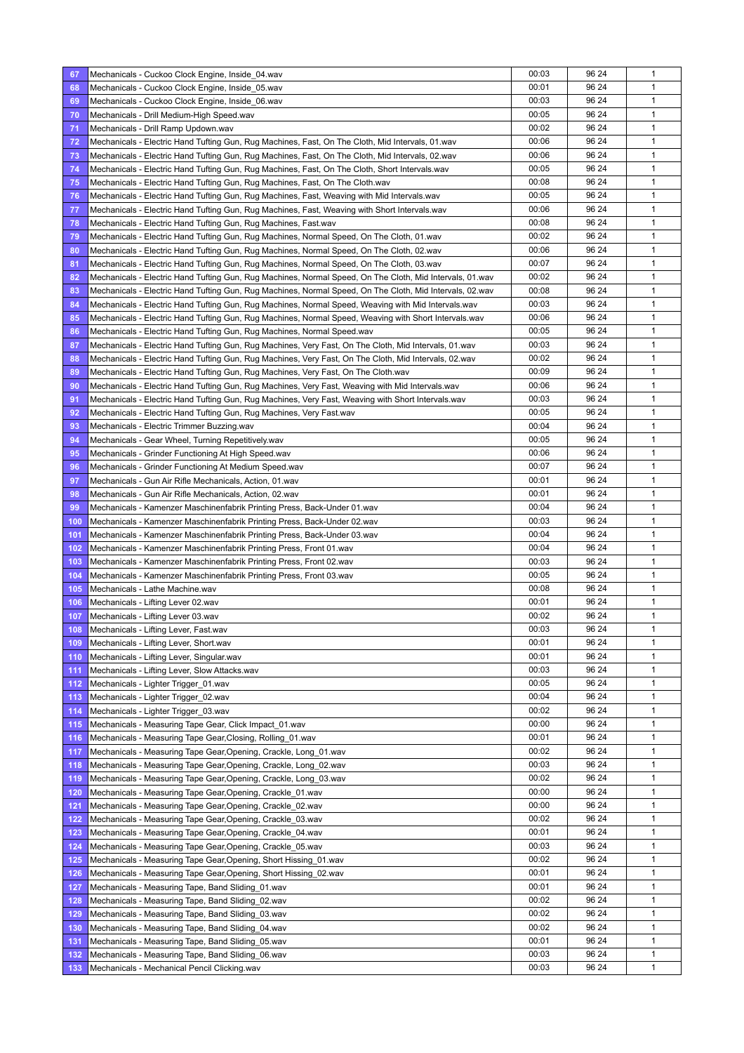| 67  | Mechanicals - Cuckoo Clock Engine, Inside_04.wav                                                         | 00:03 | 96 24 | 1            |
|-----|----------------------------------------------------------------------------------------------------------|-------|-------|--------------|
| 68  | Mechanicals - Cuckoo Clock Engine, Inside_05.wav                                                         | 00:01 | 96 24 | $\mathbf{1}$ |
| 69  | Mechanicals - Cuckoo Clock Engine, Inside_06.wav                                                         | 00:03 | 96 24 | 1            |
| 70  | Mechanicals - Drill Medium-High Speed.wav                                                                | 00:05 | 96 24 | $\mathbf{1}$ |
| 71  | Mechanicals - Drill Ramp Updown.wav                                                                      | 00:02 | 96 24 | 1            |
| 72  | Mechanicals - Electric Hand Tufting Gun, Rug Machines, Fast, On The Cloth, Mid Intervals, 01 wav         | 00:06 | 96 24 | 1            |
| 73  | Mechanicals - Electric Hand Tufting Gun, Rug Machines, Fast, On The Cloth, Mid Intervals, 02.wav         | 00:06 | 96 24 | $\mathbf{1}$ |
| 74  | Mechanicals - Electric Hand Tufting Gun, Rug Machines, Fast, On The Cloth, Short Intervals.wav           | 00:05 | 96 24 | $\mathbf{1}$ |
| 75  | Mechanicals - Electric Hand Tufting Gun, Rug Machines, Fast, On The Cloth.wav                            | 00:08 | 96 24 | 1            |
| 76  | Mechanicals - Electric Hand Tufting Gun, Rug Machines, Fast, Weaving with Mid Intervals.wav              | 00:05 | 96 24 | 1            |
| 77  | Mechanicals - Electric Hand Tufting Gun, Rug Machines, Fast, Weaving with Short Intervals.wav            | 00:06 | 96 24 | 1            |
|     |                                                                                                          | 00:08 | 96 24 | $\mathbf{1}$ |
| 78  | Mechanicals - Electric Hand Tufting Gun, Rug Machines, Fast.wav                                          | 00:02 | 96 24 | $\mathbf{1}$ |
| 79  | Mechanicals - Electric Hand Tufting Gun, Rug Machines, Normal Speed, On The Cloth, 01 wav                |       |       |              |
| 80  | Mechanicals - Electric Hand Tufting Gun, Rug Machines, Normal Speed, On The Cloth, 02.wav                | 00:06 | 96 24 | 1            |
| 81  | Mechanicals - Electric Hand Tufting Gun, Rug Machines, Normal Speed, On The Cloth, 03.wav                | 00:07 | 96 24 | 1            |
| 82  | Mechanicals - Electric Hand Tufting Gun, Rug Machines, Normal Speed, On The Cloth, Mid Intervals, 01 wav | 00:02 | 96 24 | 1            |
| 83  | Mechanicals - Electric Hand Tufting Gun, Rug Machines, Normal Speed, On The Cloth, Mid Intervals, 02 wav | 00:08 | 96 24 | $\mathbf{1}$ |
| 84  | Mechanicals - Electric Hand Tufting Gun, Rug Machines, Normal Speed, Weaving with Mid Intervals.wav      | 00:03 | 96 24 | $\mathbf{1}$ |
| 85  | Mechanicals - Electric Hand Tufting Gun, Rug Machines, Normal Speed, Weaving with Short Intervals wav    | 00:06 | 96 24 | 1            |
| 86  | Mechanicals - Electric Hand Tufting Gun, Rug Machines, Normal Speed.wav                                  | 00:05 | 96 24 | 1            |
| 87  | Mechanicals - Electric Hand Tufting Gun, Rug Machines, Very Fast, On The Cloth, Mid Intervals, 01 wav    | 00:03 | 96 24 | 1            |
| 88  | Mechanicals - Electric Hand Tufting Gun, Rug Machines, Very Fast, On The Cloth, Mid Intervals, 02 wav    | 00:02 | 96 24 | $\mathbf{1}$ |
| 89  | Mechanicals - Electric Hand Tufting Gun, Rug Machines, Very Fast, On The Cloth.wav                       | 00:09 | 96 24 | 1            |
| 90  | Mechanicals - Electric Hand Tufting Gun, Rug Machines, Very Fast, Weaving with Mid Intervals wav         | 00:06 | 96 24 | $\mathbf{1}$ |
| 91  | Mechanicals - Electric Hand Tufting Gun, Rug Machines, Very Fast, Weaving with Short Intervals.wav       | 00:03 | 96 24 | 1            |
| 92  | Mechanicals - Electric Hand Tufting Gun, Rug Machines, Very Fast.wav                                     | 00:05 | 96 24 | 1            |
| 93  | Mechanicals - Electric Trimmer Buzzing.wav                                                               | 00:04 | 96 24 | $\mathbf{1}$ |
| 94  | Mechanicals - Gear Wheel, Turning Repetitively.wav                                                       | 00:05 | 96 24 | 1            |
| 95  | Mechanicals - Grinder Functioning At High Speed.wav                                                      | 00:06 | 96 24 | 1            |
| 96  | Mechanicals - Grinder Functioning At Medium Speed.wav                                                    | 00:07 | 96 24 | 1            |
| 97  |                                                                                                          | 00:01 | 96 24 | 1            |
|     | Mechanicals - Gun Air Rifle Mechanicals, Action, 01.wav                                                  | 00:01 | 96 24 | 1            |
| 98  | Mechanicals - Gun Air Rifle Mechanicals, Action, 02.wav                                                  |       |       | $\mathbf{1}$ |
| 99  | Mechanicals - Kamenzer Maschinenfabrik Printing Press, Back-Under 01.wav                                 | 00:04 | 96 24 |              |
| 100 | Mechanicals - Kamenzer Maschinenfabrik Printing Press, Back-Under 02.wav                                 | 00:03 | 96 24 | $\mathbf{1}$ |
| 101 | Mechanicals - Kamenzer Maschinenfabrik Printing Press, Back-Under 03.wav                                 | 00:04 | 96 24 | $\mathbf{1}$ |
| 102 | Mechanicals - Kamenzer Maschinenfabrik Printing Press, Front 01.wav                                      | 00:04 | 96 24 | 1            |
| 103 | Mechanicals - Kamenzer Maschinenfabrik Printing Press, Front 02.wav                                      | 00:03 | 96 24 | 1            |
| 104 | Mechanicals - Kamenzer Maschinenfabrik Printing Press, Front 03.wav                                      | 00:05 | 96 24 | $\mathbf{1}$ |
| 105 | Mechanicals - Lathe Machine.wav                                                                          | 00:08 | 96 24 | 1            |
| 106 | Mechanicals - Lifting Lever 02.wav                                                                       | 00:01 | 96 24 | 1            |
| 107 | Mechanicals - Lifting Lever 03.wav                                                                       | 00:02 | 96 24 | 1            |
| 108 | Mechanicals - Lifting Lever, Fast.wav                                                                    | 00:03 | 96 24 | 1            |
| 109 | Mechanicals - Lifting Lever, Short.wav                                                                   | 00:01 | 96 24 | $\mathbf{1}$ |
| 110 | Mechanicals - Lifting Lever, Singular.wav                                                                | 00:01 | 96 24 | 1            |
| 111 | Mechanicals - Lifting Lever, Slow Attacks.wav                                                            | 00:03 | 96 24 | 1            |
| 112 | Mechanicals - Lighter Trigger 01.wav                                                                     | 00:05 | 96 24 | 1            |
| 113 | Mechanicals - Lighter Trigger 02.wav                                                                     | 00:04 | 96 24 | 1            |
| 114 | Mechanicals - Lighter Trigger_03.wav                                                                     | 00:02 | 96 24 | 1            |
| 115 | Mechanicals - Measuring Tape Gear, Click Impact 01.wav                                                   | 00:00 | 96 24 | $\mathbf{1}$ |
| 116 | Mechanicals - Measuring Tape Gear, Closing, Rolling_01.wav                                               | 00:01 | 96 24 | 1            |
| 117 | Mechanicals - Measuring Tape Gear, Opening, Crackle, Long_01.wav                                         | 00:02 | 96 24 | 1            |
|     |                                                                                                          | 00:03 | 96 24 | 1            |
| 118 | Mechanicals - Measuring Tape Gear, Opening, Crackle, Long_02.wav                                         | 00:02 | 96 24 | 1            |
| 119 | Mechanicals - Measuring Tape Gear, Opening, Crackle, Long 03.wav                                         |       |       |              |
| 120 | Mechanicals - Measuring Tape Gear, Opening, Crackle_01.wav                                               | 00:00 | 96 24 | 1            |
| 121 | Mechanicals - Measuring Tape Gear, Opening, Crackle_02.wav                                               | 00:00 | 96 24 | 1            |
| 122 | Mechanicals - Measuring Tape Gear, Opening, Crackle_03.wav                                               | 00:02 | 96 24 | 1            |
| 123 | Mechanicals - Measuring Tape Gear, Opening, Crackle_04.wav                                               | 00:01 | 96 24 | 1            |
| 124 | Mechanicals - Measuring Tape Gear, Opening, Crackle_05.wav                                               | 00:03 | 96 24 | 1            |
| 125 | Mechanicals - Measuring Tape Gear, Opening, Short Hissing_01.wav                                         | 00:02 | 96 24 | 1            |
| 126 | Mechanicals - Measuring Tape Gear, Opening, Short Hissing_02.wav                                         | 00:01 | 96 24 | 1            |
| 127 | Mechanicals - Measuring Tape, Band Sliding_01.wav                                                        | 00:01 | 96 24 | 1            |
| 128 | Mechanicals - Measuring Tape, Band Sliding_02.wav                                                        | 00:02 | 96 24 | 1            |
| 129 | Mechanicals - Measuring Tape, Band Sliding_03.wav                                                        | 00:02 | 96 24 | 1            |
| 130 | Mechanicals - Measuring Tape, Band Sliding 04.wav                                                        | 00:02 | 96 24 | $\mathbf{1}$ |
| 131 | Mechanicals - Measuring Tape, Band Sliding_05.wav                                                        | 00:01 | 96 24 | 1            |
| 132 | Mechanicals - Measuring Tape, Band Sliding_06.wav                                                        | 00:03 | 96 24 | 1            |
| 133 | Mechanicals - Mechanical Pencil Clicking.wav                                                             | 00:03 | 96 24 | 1            |
|     |                                                                                                          |       |       |              |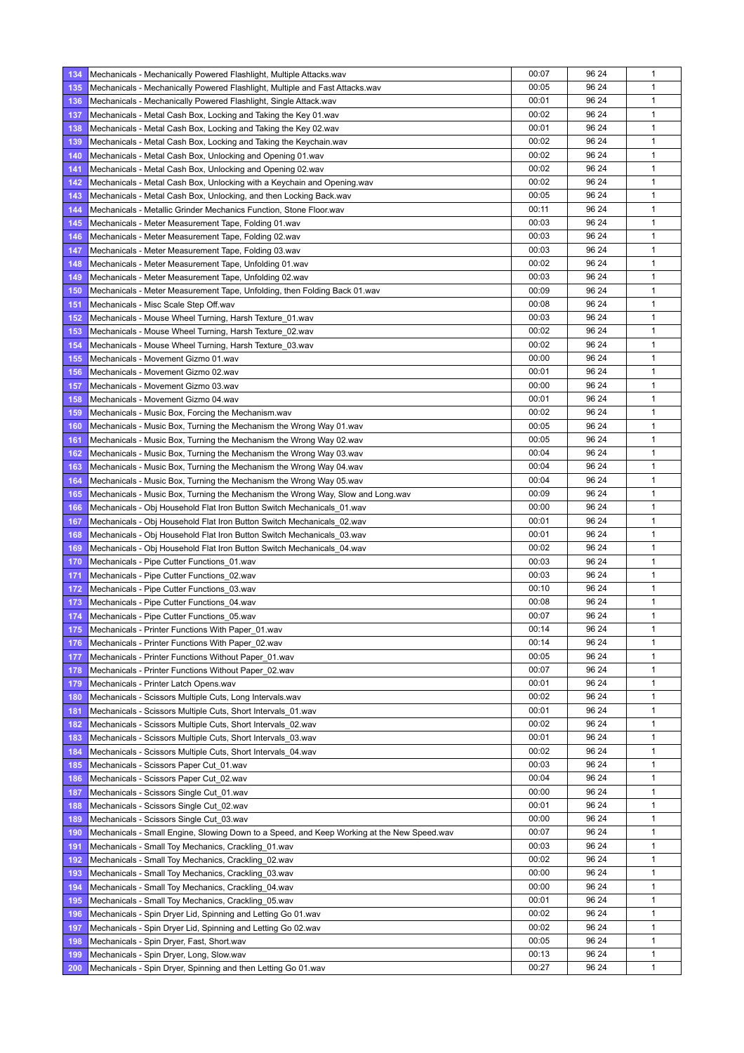| 134 | Mechanicals - Mechanically Powered Flashlight, Multiple Attacks.wav                        | 00:07 | 96 24 | 1            |
|-----|--------------------------------------------------------------------------------------------|-------|-------|--------------|
| 135 | Mechanicals - Mechanically Powered Flashlight, Multiple and Fast Attacks.wav               | 00:05 | 96 24 | $\mathbf{1}$ |
| 136 | Mechanicals - Mechanically Powered Flashlight, Single Attack.wav                           | 00:01 | 96 24 | 1            |
| 137 | Mechanicals - Metal Cash Box, Locking and Taking the Key 01 wav                            | 00:02 | 96 24 | $\mathbf{1}$ |
| 138 | Mechanicals - Metal Cash Box, Locking and Taking the Key 02 wav                            | 00:01 | 96 24 | 1            |
| 139 | Mechanicals - Metal Cash Box, Locking and Taking the Keychain.wav                          | 00:02 | 96 24 | 1            |
| 140 | Mechanicals - Metal Cash Box, Unlocking and Opening 01.wav                                 | 00:02 | 96 24 | $\mathbf{1}$ |
| 141 | Mechanicals - Metal Cash Box, Unlocking and Opening 02.wav                                 | 00:02 | 96 24 | $\mathbf{1}$ |
| 142 | Mechanicals - Metal Cash Box, Unlocking with a Keychain and Opening wav                    | 00:02 | 96 24 | 1            |
| 143 | Mechanicals - Metal Cash Box, Unlocking, and then Locking Back.wav                         | 00:05 | 96 24 | 1            |
| 144 | Mechanicals - Metallic Grinder Mechanics Function, Stone Floor wav                         | 00:11 | 96 24 | 1            |
| 145 | Mechanicals - Meter Measurement Tape, Folding 01.wav                                       | 00:03 | 96 24 | $\mathbf{1}$ |
| 146 | Mechanicals - Meter Measurement Tape, Folding 02.wav                                       | 00:03 | 96 24 | $\mathbf{1}$ |
| 147 | Mechanicals - Meter Measurement Tape, Folding 03.wav                                       | 00:03 | 96 24 | 1            |
| 148 | Mechanicals - Meter Measurement Tape, Unfolding 01.wav                                     | 00:02 | 96 24 | 1            |
| 149 | Mechanicals - Meter Measurement Tape, Unfolding 02.wav                                     | 00:03 | 96 24 | 1            |
| 150 | Mechanicals - Meter Measurement Tape, Unfolding, then Folding Back 01 wav                  | 00:09 | 96 24 | $\mathbf{1}$ |
| 151 | Mechanicals - Misc Scale Step Off.wav                                                      | 00:08 | 96 24 | 1            |
| 152 | Mechanicals - Mouse Wheel Turning, Harsh Texture_01.wav                                    | 00:03 | 96 24 | 1            |
| 153 | Mechanicals - Mouse Wheel Turning, Harsh Texture_02.wav                                    | 00:02 | 96 24 | 1            |
| 154 | Mechanicals - Mouse Wheel Turning, Harsh Texture_03.wav                                    | 00:02 | 96 24 | 1            |
| 155 | Mechanicals - Movement Gizmo 01.wav                                                        | 00:00 | 96 24 | $\mathbf{1}$ |
| 156 | Mechanicals - Movement Gizmo 02.wav                                                        | 00:01 | 96 24 | 1            |
| 157 | Mechanicals - Movement Gizmo 03.wav                                                        | 00:00 | 96 24 | 1            |
| 158 | Mechanicals - Movement Gizmo 04.wav                                                        | 00:01 | 96 24 | 1            |
| 159 | Mechanicals - Music Box, Forcing the Mechanism.wav                                         | 00:02 | 96 24 | 1            |
| 160 | Mechanicals - Music Box, Turning the Mechanism the Wrong Way 01 wav                        | 00:05 | 96 24 | 1            |
| 161 | Mechanicals - Music Box, Turning the Mechanism the Wrong Way 02 way                        | 00:05 | 96 24 | 1            |
| 162 | Mechanicals - Music Box, Turning the Mechanism the Wrong Way 03 wav                        | 00:04 | 96 24 | 1            |
| 163 | Mechanicals - Music Box, Turning the Mechanism the Wrong Way 04 wav                        | 00:04 | 96 24 | 1            |
| 164 | Mechanicals - Music Box, Turning the Mechanism the Wrong Way 05 wav                        | 00:04 | 96 24 | 1            |
| 165 | Mechanicals - Music Box, Turning the Mechanism the Wrong Way, Slow and Long wav            | 00:09 | 96 24 | 1            |
| 166 | Mechanicals - Obj Household Flat Iron Button Switch Mechanicals_01.wav                     | 00:00 | 96 24 | $\mathbf{1}$ |
| 167 | Mechanicals - Obj Household Flat Iron Button Switch Mechanicals 02.wav                     | 00:01 | 96 24 | $\mathbf{1}$ |
| 168 | Mechanicals - Obj Household Flat Iron Button Switch Mechanicals 03.wav                     | 00:01 | 96 24 | $\mathbf{1}$ |
| 169 | Mechanicals - Obj Household Flat Iron Button Switch Mechanicals_04.wav                     | 00:02 | 96 24 | 1            |
| 170 | Mechanicals - Pipe Cutter Functions_01.wav                                                 | 00:03 | 96 24 | 1            |
| 171 | Mechanicals - Pipe Cutter Functions_02.wav                                                 | 00:03 | 96 24 | $\mathbf{1}$ |
| 172 | Mechanicals - Pipe Cutter Functions 03.wav                                                 | 00:10 | 96 24 | 1            |
| 173 | Mechanicals - Pipe Cutter Functions 04.wav                                                 | 00:08 | 96 24 | 1            |
| 174 | Mechanicals - Pipe Cutter Functions 05.wav                                                 | 00:07 | 96 24 | 1            |
| 175 | Mechanicals - Printer Functions With Paper_01.wav                                          | 00:14 | 96 24 | 1            |
| 176 | Mechanicals - Printer Functions With Paper 02.wav                                          | 00:14 | 96 24 | $\mathbf{1}$ |
| 177 | Mechanicals - Printer Functions Without Paper 01.wav                                       | 00:05 | 96 24 | 1            |
| 178 | Mechanicals - Printer Functions Without Paper_02.wav                                       | 00:07 | 96 24 | 1            |
| 179 | Mechanicals - Printer Latch Opens.wav                                                      | 00:01 | 96 24 | 1            |
| 180 | Mechanicals - Scissors Multiple Cuts, Long Intervals.wav                                   | 00:02 | 96 24 | 1            |
| 181 | Mechanicals - Scissors Multiple Cuts, Short Intervals_01.wav                               | 00:01 | 96 24 | 1            |
| 182 | Mechanicals - Scissors Multiple Cuts, Short Intervals 02.wav                               | 00:02 | 96 24 | $\mathbf{1}$ |
| 183 | Mechanicals - Scissors Multiple Cuts, Short Intervals 03.wav                               | 00:01 | 96 24 | 1            |
| 184 | Mechanicals - Scissors Multiple Cuts, Short Intervals_04.wav                               | 00:02 | 96 24 | 1            |
| 185 | Mechanicals - Scissors Paper Cut_01.wav                                                    | 00:03 | 96 24 | 1            |
| 186 | Mechanicals - Scissors Paper Cut 02.wav                                                    | 00:04 | 96 24 | 1            |
| 187 | Mechanicals - Scissors Single Cut 01.wav                                                   | 00:00 | 96 24 | 1            |
| 188 | Mechanicals - Scissors Single Cut_02.wav                                                   | 00:01 | 96 24 | 1            |
| 189 | Mechanicals - Scissors Single Cut_03.wav                                                   | 00:00 | 96 24 | 1            |
| 190 | Mechanicals - Small Engine, Slowing Down to a Speed, and Keep Working at the New Speed wav | 00:07 | 96 24 | 1            |
| 191 | Mechanicals - Small Toy Mechanics, Crackling_01.wav                                        | 00:03 | 96 24 | 1            |
|     |                                                                                            | 00:02 | 96 24 | 1            |
| 192 | Mechanicals - Small Toy Mechanics, Crackling_02.wav                                        | 00:00 | 96 24 | 1            |
| 193 | Mechanicals - Small Toy Mechanics, Crackling 03.wav                                        | 00:00 | 96 24 | 1            |
| 194 | Mechanicals - Small Toy Mechanics, Crackling_04.wav                                        | 00:01 | 96 24 | 1            |
| 195 | Mechanicals - Small Toy Mechanics, Crackling 05.wav                                        | 00:02 | 96 24 | 1            |
| 196 | Mechanicals - Spin Dryer Lid, Spinning and Letting Go 01.wav                               | 00:02 | 96 24 | $\mathbf{1}$ |
| 197 | Mechanicals - Spin Dryer Lid, Spinning and Letting Go 02.wav                               | 00:05 | 96 24 | 1            |
| 198 | Mechanicals - Spin Dryer, Fast, Short.wav                                                  | 00:13 | 96 24 | 1            |
| 199 | Mechanicals - Spin Dryer, Long, Slow.wav                                                   | 00:27 | 96 24 | 1            |
| 200 | Mechanicals - Spin Dryer, Spinning and then Letting Go 01 wav                              |       |       |              |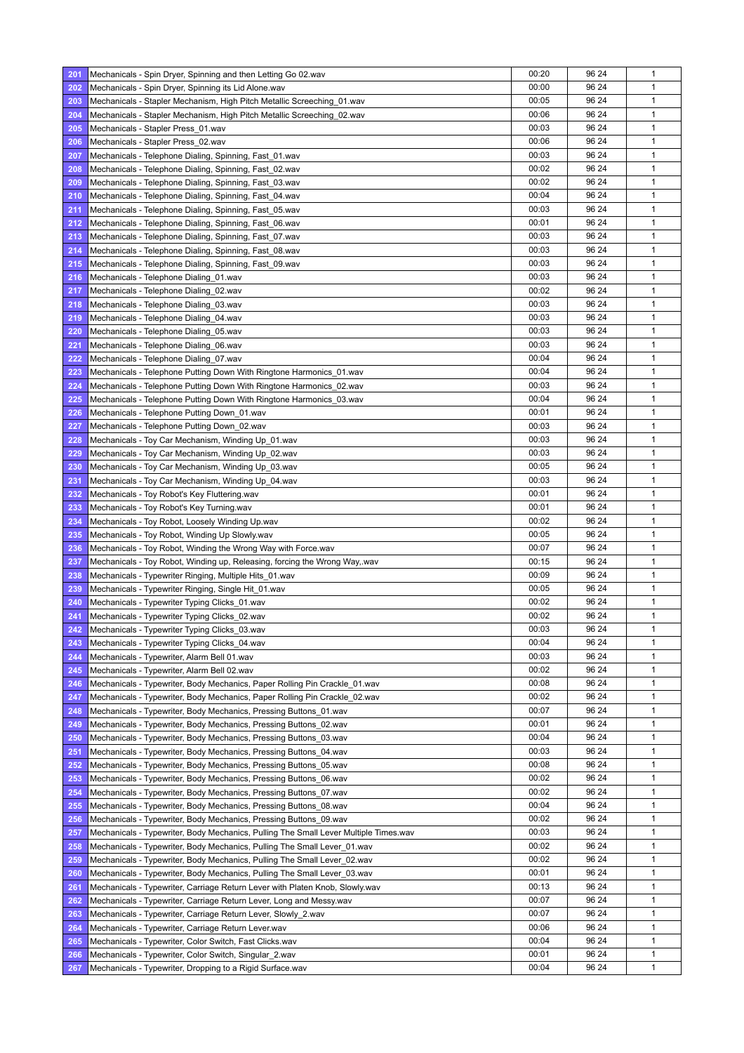| 201 | Mechanicals - Spin Dryer, Spinning and then Letting Go 02 wav                                                                          | 00:20 | 96 24          | 1            |
|-----|----------------------------------------------------------------------------------------------------------------------------------------|-------|----------------|--------------|
| 202 | Mechanicals - Spin Dryer, Spinning its Lid Alone.wav                                                                                   | 00:00 | 96 24          | 1            |
| 203 | Mechanicals - Stapler Mechanism, High Pitch Metallic Screeching 01.wav                                                                 | 00:05 | 96 24          | 1            |
| 204 | Mechanicals - Stapler Mechanism, High Pitch Metallic Screeching_02.wav                                                                 | 00:06 | 96 24          | 1            |
| 205 | Mechanicals - Stapler Press 01.wav                                                                                                     | 00:03 | 96 24          | 1            |
| 206 | Mechanicals - Stapler Press 02.wav                                                                                                     | 00:06 | 96 24          | 1            |
| 207 | Mechanicals - Telephone Dialing, Spinning, Fast 01.wav                                                                                 | 00:03 | 96 24          | $\mathbf{1}$ |
| 208 | Mechanicals - Telephone Dialing, Spinning, Fast_02.wav                                                                                 | 00:02 | 96 24          | 1            |
| 209 | Mechanicals - Telephone Dialing, Spinning, Fast_03.wav                                                                                 | 00:02 | 96 24          | 1            |
| 210 | Mechanicals - Telephone Dialing, Spinning, Fast_04.wav                                                                                 | 00:04 | 96 24          | 1            |
| 211 | Mechanicals - Telephone Dialing, Spinning, Fast_05.wav                                                                                 | 00:03 | 96 24          | 1            |
| 212 | Mechanicals - Telephone Dialing, Spinning, Fast_06.wav                                                                                 | 00:01 | 96 24          | $\mathbf{1}$ |
| 213 | Mechanicals - Telephone Dialing, Spinning, Fast_07.wav                                                                                 | 00:03 | 96 24          | $\mathbf{1}$ |
| 214 | Mechanicals - Telephone Dialing, Spinning, Fast_08.wav                                                                                 | 00:03 | 96 24          | $\mathbf{1}$ |
| 215 | Mechanicals - Telephone Dialing, Spinning, Fast_09.wav                                                                                 | 00:03 | 96 24          | 1            |
| 216 | Mechanicals - Telephone Dialing 01.wav                                                                                                 | 00:03 | 96 24          | 1            |
| 217 | Mechanicals - Telephone Dialing_02.wav                                                                                                 | 00:02 | 96 24          | $\mathbf{1}$ |
| 218 |                                                                                                                                        | 00:03 | 96 24          | $\mathbf{1}$ |
|     | Mechanicals - Telephone Dialing_03.wav                                                                                                 | 00:03 | 96 24          | 1            |
| 219 | Mechanicals - Telephone Dialing 04.wav                                                                                                 |       |                |              |
| 220 | Mechanicals - Telephone Dialing 05.wav                                                                                                 | 00:03 | 96 24          | 1            |
| 221 | Mechanicals - Telephone Dialing_06.wav                                                                                                 | 00:03 | 96 24          | 1            |
| 222 | Mechanicals - Telephone Dialing_07.wav                                                                                                 | 00:04 | 96 24          | $\mathbf{1}$ |
| 223 | Mechanicals - Telephone Putting Down With Ringtone Harmonics 01.wav                                                                    | 00:04 | 96 24          | $\mathbf{1}$ |
| 224 | Mechanicals - Telephone Putting Down With Ringtone Harmonics_02.wav                                                                    | 00:03 | 96 24          | 1            |
| 225 | Mechanicals - Telephone Putting Down With Ringtone Harmonics 03.wav                                                                    | 00:04 | 96 24          | 1            |
| 226 | Mechanicals - Telephone Putting Down 01.wav                                                                                            | 00:01 | 96 24          | 1            |
| 227 | Mechanicals - Telephone Putting Down 02.wav                                                                                            | 00:03 | 96 24          | $\mathbf{1}$ |
| 228 | Mechanicals - Toy Car Mechanism, Winding Up 01.wav                                                                                     | 00:03 | 96 24          | $\mathbf{1}$ |
| 229 | Mechanicals - Toy Car Mechanism, Winding Up 02.wav                                                                                     | 00:03 | 96 24          | 1            |
| 230 | Mechanicals - Toy Car Mechanism, Winding Up_03.wav                                                                                     | 00:05 | 96 24          | 1            |
| 231 | Mechanicals - Toy Car Mechanism, Winding Up_04.wav                                                                                     | 00:03 | 96 24          | 1            |
| 232 | Mechanicals - Toy Robot's Key Fluttering.wav                                                                                           | 00:01 | 96 24          | $\mathbf{1}$ |
| 233 | Mechanicals - Toy Robot's Key Turning.wav                                                                                              | 00:01 | 96 24          | 1            |
| 234 | Mechanicals - Toy Robot, Loosely Winding Up.wav                                                                                        | 00:02 | 96 24          | 1            |
| 235 | Mechanicals - Toy Robot, Winding Up Slowly.wav                                                                                         | 00:05 | 96 24          | 1            |
| 236 | Mechanicals - Toy Robot, Winding the Wrong Way with Force wav                                                                          | 00:07 | 96 24          | 1            |
| 237 | Mechanicals - Toy Robot, Winding up, Releasing, forcing the Wrong Way, wav                                                             | 00:15 | 96 24          | 1            |
| 238 | Mechanicals - Typewriter Ringing, Multiple Hits 01.wav                                                                                 | 00:09 | 96 24          | 1            |
| 239 | Mechanicals - Typewriter Ringing, Single Hit_01.wav                                                                                    | 00:05 | 96 24          | 1            |
| 240 | Mechanicals - Typewriter Typing Clicks 01.wav                                                                                          | 00:02 | 96 24          | 1            |
| 241 | Mechanicals - Typewriter Typing Clicks_02.wav                                                                                          | 00:02 | 96 24          | $\mathbf{1}$ |
| 242 | Mechanicals - Typewriter Typing Clicks_03.wav                                                                                          | 00:03 | 96 24          | 1            |
| 243 | Mechanicals - Typewriter Typing Clicks 04.wav                                                                                          | 00:04 | 96 24          | $\mathbf{1}$ |
| 244 | Mechanicals - Typewriter, Alarm Bell 01.wav                                                                                            | 00:03 | 96 24          | 1            |
| 245 | Mechanicals - Typewriter, Alarm Bell 02.wav                                                                                            | 00:02 | 96 24          | $\mathbf{1}$ |
| 246 | Mechanicals - Typewriter, Body Mechanics, Paper Rolling Pin Crackle 01.wav                                                             | 00:08 | 96 24          | 1            |
| 247 | Mechanicals - Typewriter, Body Mechanics, Paper Rolling Pin Crackle 02.wav                                                             | 00:02 | 96 24          | 1            |
| 248 | Mechanicals - Typewriter, Body Mechanics, Pressing Buttons 01.wav                                                                      | 00:07 | 96 24          | 1            |
| 249 | Mechanicals - Typewriter, Body Mechanics, Pressing Buttons_02.wav                                                                      | 00:01 | 96 24          | 1            |
| 250 | Mechanicals - Typewriter, Body Mechanics, Pressing Buttons_03.wav                                                                      | 00:04 | 96 24          | 1            |
| 251 | Mechanicals - Typewriter, Body Mechanics, Pressing Buttons_04.wav                                                                      | 00:03 | 96 24          | 1            |
| 252 | Mechanicals - Typewriter, Body Mechanics, Pressing Buttons_05.wav                                                                      | 00:08 | 96 24          | 1            |
| 253 | Mechanicals - Typewriter, Body Mechanics, Pressing Buttons_06.wav                                                                      | 00:02 | 96 24          | 1            |
| 254 |                                                                                                                                        | 00:02 | 96 24          | $\mathbf{1}$ |
| 255 | Mechanicals - Typewriter, Body Mechanics, Pressing Buttons 07.wav<br>Mechanicals - Typewriter, Body Mechanics, Pressing Buttons_08.wav | 00:04 | 96 24          | 1            |
|     |                                                                                                                                        |       |                |              |
| 256 | Mechanicals - Typewriter, Body Mechanics, Pressing Buttons_09.wav                                                                      | 00:02 | 96 24<br>96 24 | 1            |
| 257 | Mechanicals - Typewriter, Body Mechanics, Pulling The Small Lever Multiple Times.wav                                                   | 00:03 |                | 1            |
| 258 | Mechanicals - Typewriter, Body Mechanics, Pulling The Small Lever_01.wav                                                               | 00:02 | 96 24          | 1            |
| 259 | Mechanicals - Typewriter, Body Mechanics, Pulling The Small Lever_02.wav                                                               | 00:02 | 96 24          | $\mathbf{1}$ |
| 260 | Mechanicals - Typewriter, Body Mechanics, Pulling The Small Lever_03.wav                                                               | 00:01 | 96 24          | 1            |
| 261 | Mechanicals - Typewriter, Carriage Return Lever with Platen Knob, Slowly.wav                                                           | 00:13 | 96 24          | 1            |
| 262 | Mechanicals - Typewriter, Carriage Return Lever, Long and Messy.wav                                                                    | 00:07 | 96 24          | 1            |
| 263 | Mechanicals - Typewriter, Carriage Return Lever, Slowly_2.wav                                                                          | 00:07 | 96 24          | 1            |
| 264 | Mechanicals - Typewriter, Carriage Return Lever.wav                                                                                    | 00:06 | 96 24          | 1            |
| 265 | Mechanicals - Typewriter, Color Switch, Fast Clicks.wav                                                                                | 00:04 | 96 24          | 1            |
| 266 | Mechanicals - Typewriter, Color Switch, Singular_2.wav                                                                                 | 00:01 | 96 24          | 1            |
| 267 | Mechanicals - Typewriter, Dropping to a Rigid Surface wav                                                                              | 00:04 | 96 24          | 1            |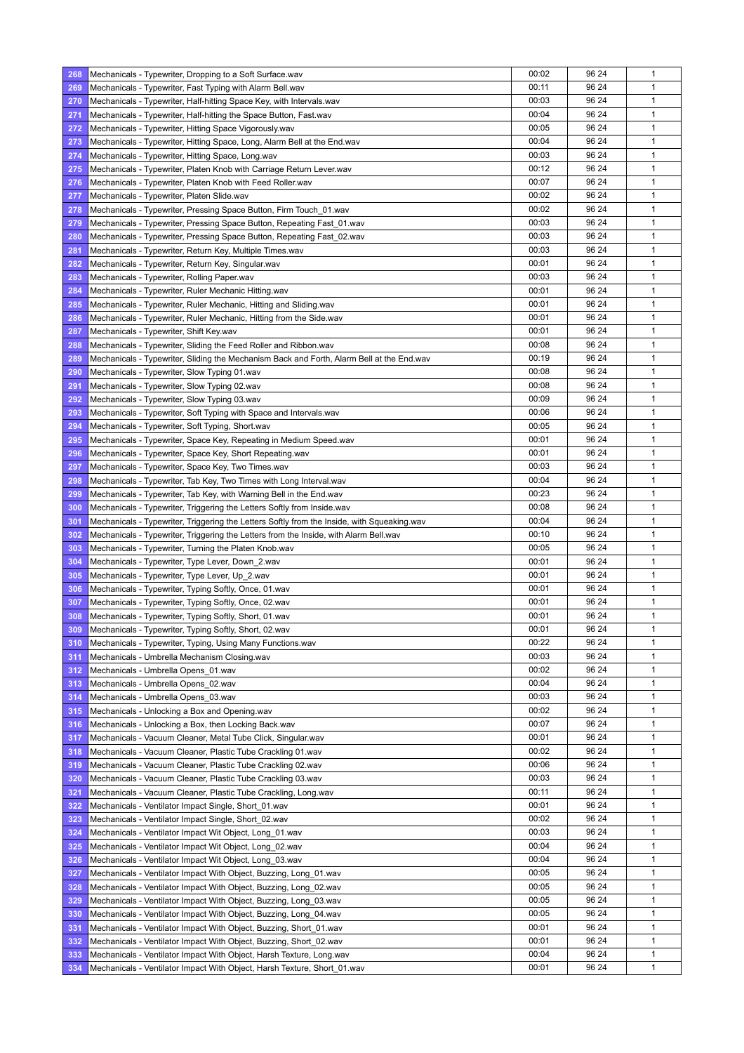| 268        | Mechanicals - Typewriter, Dropping to a Soft Surface.wav                                    | 00:02 | 96 24 | $\mathbf{1}$ |
|------------|---------------------------------------------------------------------------------------------|-------|-------|--------------|
| 269        | Mechanicals - Typewriter, Fast Typing with Alarm Bell.wav                                   | 00:11 | 96 24 | $\mathbf{1}$ |
| 270        | Mechanicals - Typewriter, Half-hitting Space Key, with Intervals.wav                        | 00:03 | 96 24 | 1            |
| 271        | Mechanicals - Typewriter, Half-hitting the Space Button, Fast.wav                           | 00:04 | 96 24 | $\mathbf{1}$ |
| 272        | Mechanicals - Typewriter, Hitting Space Vigorously.wav                                      | 00:05 | 96 24 | 1            |
| 273        | Mechanicals - Typewriter, Hitting Space, Long, Alarm Bell at the End.wav                    | 00:04 | 96 24 | 1            |
| 274        | Mechanicals - Typewriter, Hitting Space, Long.wav                                           | 00:03 | 96 24 | $\mathbf{1}$ |
| 275        | Mechanicals - Typewriter, Platen Knob with Carriage Return Lever.wav                        | 00:12 | 96 24 | 1            |
| 276        | Mechanicals - Typewriter, Platen Knob with Feed Roller.wav                                  | 00:07 | 96 24 | 1            |
| 277        | Mechanicals - Typewriter, Platen Slide.wav                                                  | 00:02 | 96 24 | 1            |
| 278        | Mechanicals - Typewriter, Pressing Space Button, Firm Touch_01.wav                          | 00:02 | 96 24 | 1            |
| 279        | Mechanicals - Typewriter, Pressing Space Button, Repeating Fast_01.wav                      | 00:03 | 96 24 | 1            |
| 280        | Mechanicals - Typewriter, Pressing Space Button, Repeating Fast_02.wav                      | 00:03 | 96 24 | $\mathbf{1}$ |
| 281        | Mechanicals - Typewriter, Return Key, Multiple Times.wav                                    | 00:03 | 96 24 | 1            |
| 282        | Mechanicals - Typewriter, Return Key, Singular.wav                                          | 00:01 | 96 24 | 1            |
| 283        | Mechanicals - Typewriter, Rolling Paper.wav                                                 | 00:03 | 96 24 | 1            |
| 284        |                                                                                             | 00:01 | 96 24 | $\mathbf{1}$ |
|            | Mechanicals - Typewriter, Ruler Mechanic Hitting.wav                                        | 00:01 | 96 24 | $\mathbf{1}$ |
| 285        | Mechanicals - Typewriter, Ruler Mechanic, Hitting and Sliding wav                           |       |       |              |
| 286        | Mechanicals - Typewriter, Ruler Mechanic, Hitting from the Side wav                         | 00:01 | 96 24 | 1            |
| 287        | Mechanicals - Typewriter, Shift Key.wav                                                     | 00:01 | 96 24 | 1            |
| 288        | Mechanicals - Typewriter, Sliding the Feed Roller and Ribbon.wav                            | 00:08 | 96 24 | 1            |
| 289        | Mechanicals - Typewriter, Sliding the Mechanism Back and Forth, Alarm Bell at the End wav   | 00:19 | 96 24 | $\mathbf{1}$ |
| 290        | Mechanicals - Typewriter, Slow Typing 01.wav                                                | 00:08 | 96 24 | 1            |
| 291        | Mechanicals - Typewriter, Slow Typing 02.wav                                                | 00:08 | 96 24 | 1            |
| 292        | Mechanicals - Typewriter, Slow Typing 03.wav                                                | 00:09 | 96 24 | 1            |
| 293        | Mechanicals - Typewriter, Soft Typing with Space and Intervals.wav                          | 00:06 | 96 24 | $\mathbf{1}$ |
| 294        | Mechanicals - Typewriter, Soft Typing, Short.wav                                            | 00:05 | 96 24 | 1            |
| 295        | Mechanicals - Typewriter, Space Key, Repeating in Medium Speed wav                          | 00:01 | 96 24 | 1            |
| 296        | Mechanicals - Typewriter, Space Key, Short Repeating wav                                    | 00:01 | 96 24 | 1            |
| 297        | Mechanicals - Typewriter, Space Key, Two Times.wav                                          | 00:03 | 96 24 | $\mathbf{1}$ |
| 298        | Mechanicals - Typewriter, Tab Key, Two Times with Long Interval.wav                         | 00:04 | 96 24 | $\mathbf{1}$ |
| 299        | Mechanicals - Typewriter, Tab Key, with Warning Bell in the End wav                         | 00:23 | 96 24 | 1            |
| 300        | Mechanicals - Typewriter, Triggering the Letters Softly from Inside.wav                     | 00:08 | 96 24 | 1            |
| 301        | Mechanicals - Typewriter, Triggering the Letters Softly from the Inside, with Squeaking wav | 00:04 | 96 24 | 1            |
| 302        | Mechanicals - Typewriter, Triggering the Letters from the Inside, with Alarm Bell.wav       | 00:10 | 96 24 | 1            |
| 303        | Mechanicals - Typewriter, Turning the Platen Knob.wav                                       | 00:05 | 96 24 | 1            |
| 304        | Mechanicals - Typewriter, Type Lever, Down_2.wav                                            | 00:01 | 96 24 | 1            |
| 305        | Mechanicals - Typewriter, Type Lever, Up_2.wav                                              | 00:01 | 96 24 | 1            |
| 306        | Mechanicals - Typewriter, Typing Softly, Once, 01.wav                                       | 00:01 | 96 24 | 1            |
| 307        | Mechanicals - Typewriter, Typing Softly, Once, 02.wav                                       | 00:01 | 96 24 | 1            |
| 308        | Mechanicals - Typewriter, Typing Softly, Short, 01.wav                                      | 00:01 | 96 24 | $\mathbf{1}$ |
| 309        | Mechanicals - Typewriter, Typing Softly, Short, 02.wav                                      | 00:01 | 96 24 | 1            |
| 310        | Mechanicals - Typewriter, Typing, Using Many Functions.wav                                  | 00:22 | 96 24 | 1            |
| 311        | Mechanicals - Umbrella Mechanism Closing.wav                                                | 00:03 | 96 24 | 1            |
| 312        | Mechanicals - Umbrella Opens_01.wav                                                         | 00:02 | 96 24 | 1            |
| 313        | Mechanicals - Umbrella Opens_02.wav                                                         | 00:04 | 96 24 | 1            |
| 314        | Mechanicals - Umbrella Opens_03.wav                                                         | 00:03 | 96 24 | 1            |
| 315        | Mechanicals - Unlocking a Box and Opening.wav                                               | 00:02 | 96 24 | 1            |
| 316        | Mechanicals - Unlocking a Box, then Locking Back.wav                                        | 00:07 | 96 24 | 1            |
| 317        | Mechanicals - Vacuum Cleaner, Metal Tube Click, Singular.wav                                | 00:01 | 96 24 | 1            |
| 318        | Mechanicals - Vacuum Cleaner, Plastic Tube Crackling 01.wav                                 | 00:02 | 96 24 | 1            |
| 319        | Mechanicals - Vacuum Cleaner, Plastic Tube Crackling 02.wav                                 | 00:06 | 96 24 | 1            |
| 320        | Mechanicals - Vacuum Cleaner, Plastic Tube Crackling 03.wav                                 | 00:03 | 96 24 | 1            |
| 321        | Mechanicals - Vacuum Cleaner, Plastic Tube Crackling, Long.wav                              | 00:11 | 96 24 | 1            |
| 322        | Mechanicals - Ventilator Impact Single, Short_01.wav                                        | 00:01 | 96 24 | $\mathbf{1}$ |
|            |                                                                                             | 00:02 | 96 24 | 1            |
| 323<br>324 | Mechanicals - Ventilator Impact Single, Short_02.wav                                        | 00:03 | 96 24 | $\mathbf{1}$ |
|            | Mechanicals - Ventilator Impact Wit Object, Long 01.wav                                     | 00:04 |       | 1            |
| 325        | Mechanicals - Ventilator Impact Wit Object, Long_02.wav                                     |       | 96 24 |              |
| 326        | Mechanicals - Ventilator Impact Wit Object, Long 03 way                                     | 00:04 | 96 24 | 1            |
| 327        | Mechanicals - Ventilator Impact With Object, Buzzing, Long 01 wav                           | 00:05 | 96 24 | 1            |
| 328        | Mechanicals - Ventilator Impact With Object, Buzzing, Long_02.wav                           | 00:05 | 96 24 | 1            |
| 329        | Mechanicals - Ventilator Impact With Object, Buzzing, Long_03.wav                           | 00:05 | 96 24 | $\mathbf{1}$ |
| 330        | Mechanicals - Ventilator Impact With Object, Buzzing, Long_04.wav                           | 00:05 | 96 24 | 1            |
| 331        | Mechanicals - Ventilator Impact With Object, Buzzing, Short 01 wav                          | 00:01 | 96 24 | 1            |
| 332        | Mechanicals - Ventilator Impact With Object, Buzzing, Short_02.wav                          | 00:01 | 96 24 | 1            |
| 333        | Mechanicals - Ventilator Impact With Object, Harsh Texture, Long.wav                        | 00:04 | 96 24 | 1            |
| 334        | Mechanicals - Ventilator Impact With Object, Harsh Texture, Short 01.wav                    | 00:01 | 96 24 | $\mathbf{1}$ |